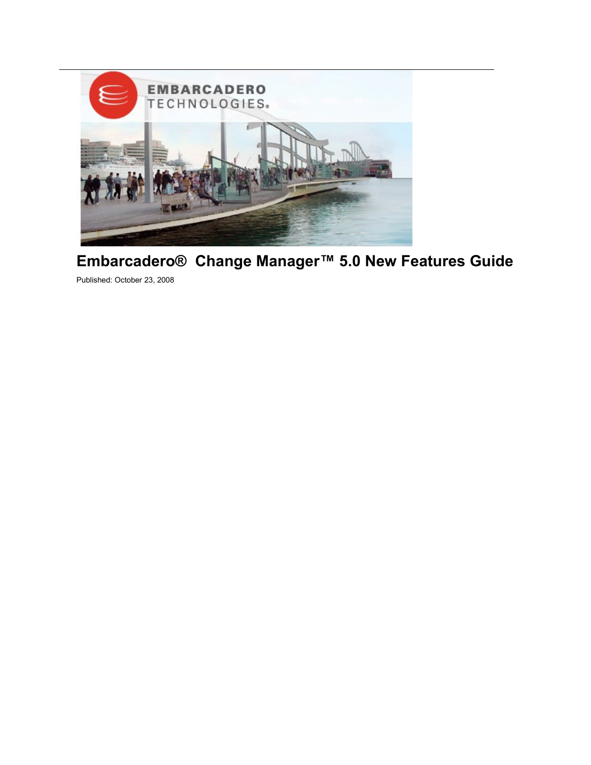

# **Embarcadero® Change Manager™ 5.0 New Features Guide**

Published: October 23, 2008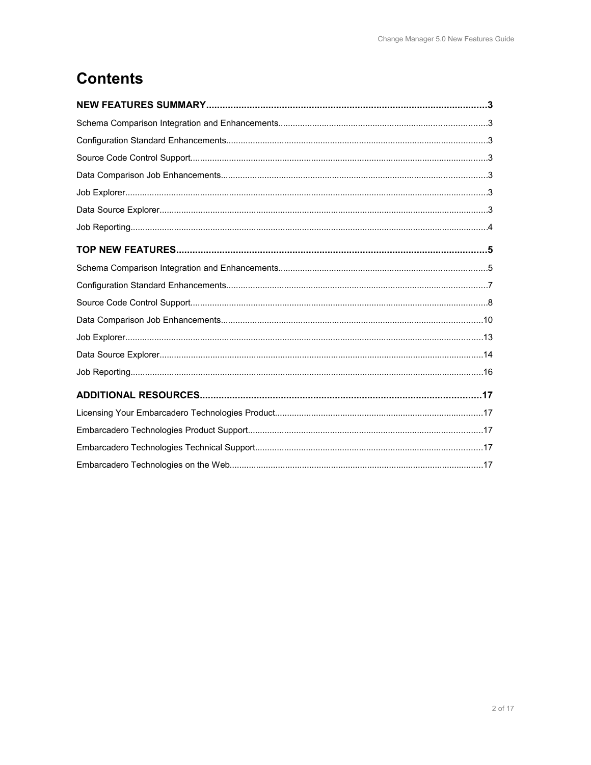# **Contents**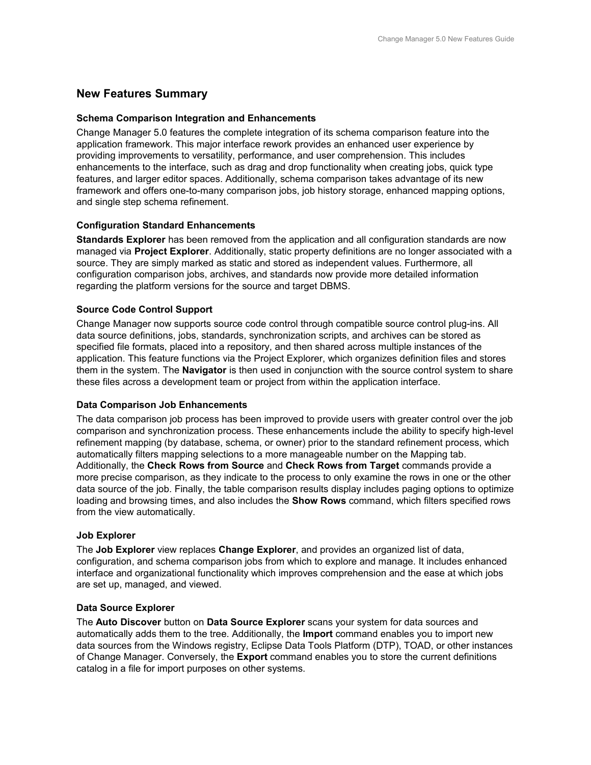# **New Features Summary**

## **Schema Comparison Integration and Enhancements**

Change Manager 5.0 features the complete integration of its schema comparison feature into the application framework. This major interface rework provides an enhanced user experience by providing improvements to versatility, performance, and user comprehension. This includes enhancements to the interface, such as drag and drop functionality when creating jobs, quick type features, and larger editor spaces. Additionally, schema comparison takes advantage of its new framework and offers one-to-many comparison jobs, job history storage, enhanced mapping options, and single step schema refinement.

## **Configuration Standard Enhancements**

**Standards Explorer** has been removed from the application and all configuration standards are now managed via **Project Explorer**. Additionally, static property definitions are no longer associated with a source. They are simply marked as static and stored as independent values. Furthermore, all configuration comparison jobs, archives, and standards now provide more detailed information regarding the platform versions for the source and target DBMS.

## **Source Code Control Support**

Change Manager now supports source code control through compatible source control plug-ins. All data source definitions, jobs, standards, synchronization scripts, and archives can be stored as specified file formats, placed into a repository, and then shared across multiple instances of the application. This feature functions via the Project Explorer, which organizes definition files and stores them in the system. The **Navigator** is then used in conjunction with the source control system to share these files across a development team or project from within the application interface.

## **Data Comparison Job Enhancements**

The data comparison job process has been improved to provide users with greater control over the job comparison and synchronization process. These enhancements include the ability to specify high-level refinement mapping (by database, schema, or owner) prior to the standard refinement process, which automatically filters mapping selections to a more manageable number on the Mapping tab. Additionally, the **Check Rows from Source** and **Check Rows from Target** commands provide a more precise comparison, as they indicate to the process to only examine the rows in one or the other data source of the job. Finally, the table comparison results display includes paging options to optimize loading and browsing times, and also includes the **Show Rows** command, which filters specified rows from the view automatically.

## **Job Explorer**

The **Job Explorer** view replaces **Change Explorer**, and provides an organized list of data, configuration, and schema comparison jobs from which to explore and manage. It includes enhanced interface and organizational functionality which improves comprehension and the ease at which jobs are set up, managed, and viewed.

## **Data Source Explorer**

The **Auto Discover** button on **Data Source Explorer** scans your system for data sources and automatically adds them to the tree. Additionally, the **Import** command enables you to import new data sources from the Windows registry, Eclipse Data Tools Platform (DTP), TOAD, or other instances of Change Manager. Conversely, the **Export** command enables you to store the current definitions catalog in a file for import purposes on other systems.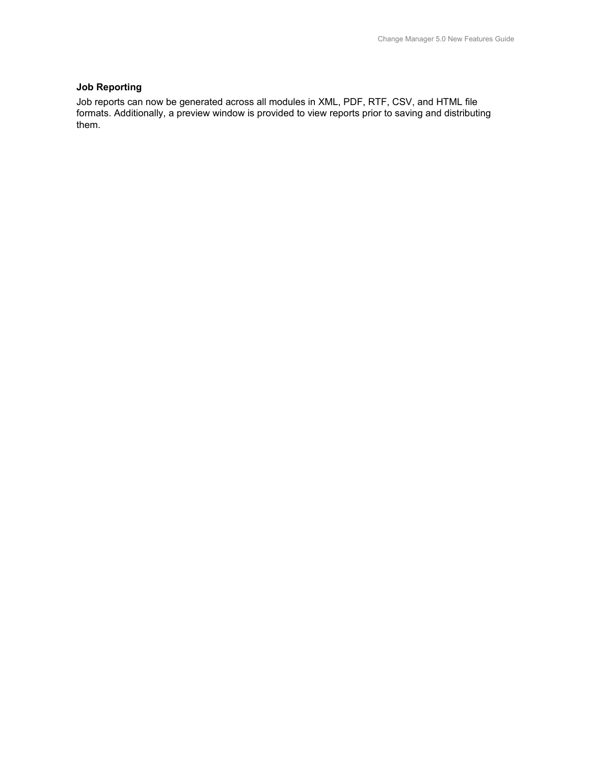# **Job Reporting**

Job reports can now be generated across all modules in XML, PDF, RTF, CSV, and HTML file formats. Additionally, a preview window is provided to view reports prior to saving and distributing them.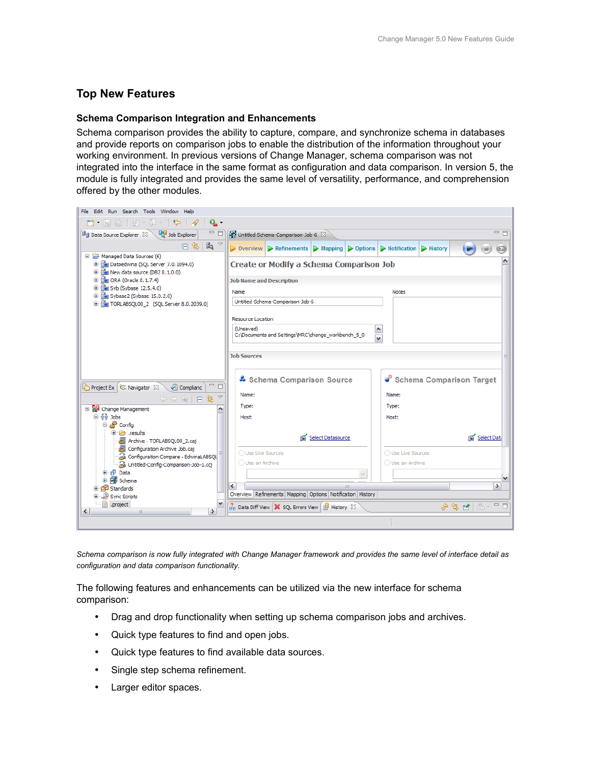# **Top New Features**

## **Schema Comparison Integration and Enhancements**

Schema comparison provides the ability to capture, compare, and synchronize schema in databases and provide reports on comparison jobs to enable the distribution of the information throughout your working environment. In previous versions of Change Manager, schema comparison was not integrated into the interface in the same format as configuration and data comparison. In version 5, the module is fully integrated and provides the same level of versatility, performance, and comprehension offered by the other modules.



*Schema comparison is now fully integrated with Change Manager framework and provides the same level of interface detail as configuration and data comparison functionality.*

The following features and enhancements can be utilized via the new interface for schema comparison:

- Drag and drop functionality when setting up schema comparison jobs and archives.
- Quick type features to find and open jobs.
- Quick type features to find available data sources.
- Single step schema refinement.
- Larger editor spaces.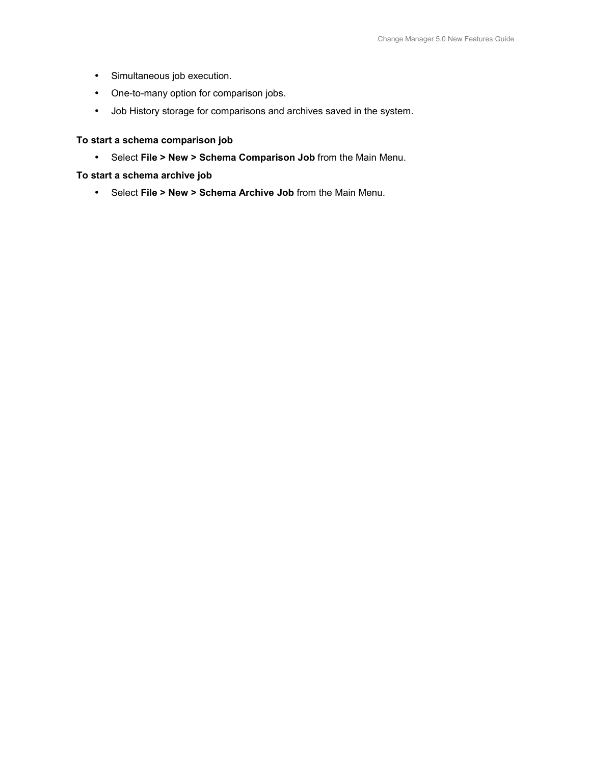- Simultaneous job execution.
- One-to-many option for comparison jobs.
- Job History storage for comparisons and archives saved in the system.

# **To start a schema comparison job**

• Select **File > New > Schema Comparison Job** from the Main Menu.

**To start a schema archive job**

• Select **File > New > Schema Archive Job** from the Main Menu.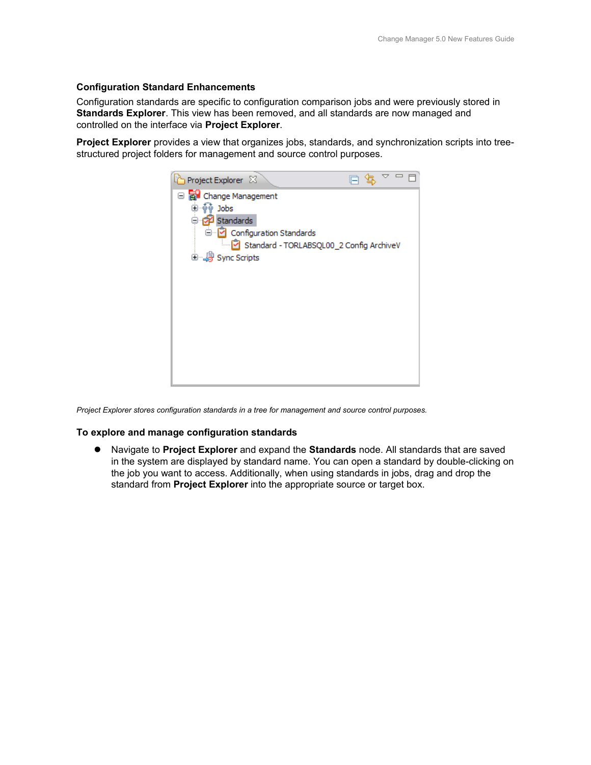## **Configuration Standard Enhancements**

Configuration standards are specific to configuration comparison jobs and were previously stored in **Standards Explorer**. This view has been removed, and all standards are now managed and controlled on the interface via **Project Explorer**.

**Project Explorer** provides a view that organizes jobs, standards, and synchronization scripts into treestructured project folders for management and source control purposes.



*Project Explorer stores configuration standards in a tree for management and source control purposes.*

## **To explore and manage configuration standards**

 Navigate to **Project Explorer** and expand the **Standards** node. All standards that are saved in the system are displayed by standard name. You can open a standard by double-clicking on the job you want to access. Additionally, when using standards in jobs, drag and drop the standard from **Project Explorer** into the appropriate source or target box.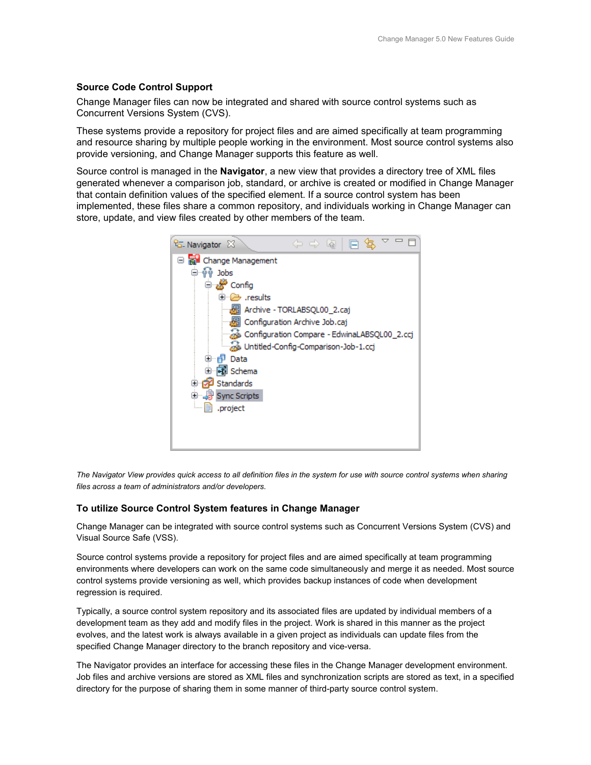## **Source Code Control Support**

Change Manager files can now be integrated and shared with source control systems such as Concurrent Versions System (CVS).

These systems provide a repository for project files and are aimed specifically at team programming and resource sharing by multiple people working in the environment. Most source control systems also provide versioning, and Change Manager supports this feature as well.

Source control is managed in the **Navigator**, a new view that provides a directory tree of XML files generated whenever a comparison job, standard, or archive is created or modified in Change Manager that contain definition values of the specified element. If a source control system has been implemented, these files share a common repository, and individuals working in Change Manager can store, update, and view files created by other members of the team.



*The Navigator View provides quick access to all definition files in the system for use with source control systems when sharing files across a team of administrators and/or developers.*

## **To utilize Source Control System features in Change Manager**

Change Manager can be integrated with source control systems such as Concurrent Versions System (CVS) and Visual Source Safe (VSS).

Source control systems provide a repository for project files and are aimed specifically at team programming environments where developers can work on the same code simultaneously and merge it as needed. Most source control systems provide versioning as well, which provides backup instances of code when development regression is required.

Typically, a source control system repository and its associated files are updated by individual members of a development team as they add and modify files in the project. Work is shared in this manner as the project evolves, and the latest work is always available in a given project as individuals can update files from the specified Change Manager directory to the branch repository and vice-versa.

The Navigator provides an interface for accessing these files in the Change Manager development environment. Job files and archive versions are stored as XML files and synchronization scripts are stored as text, in a specified directory for the purpose of sharing them in some manner of third-party source control system.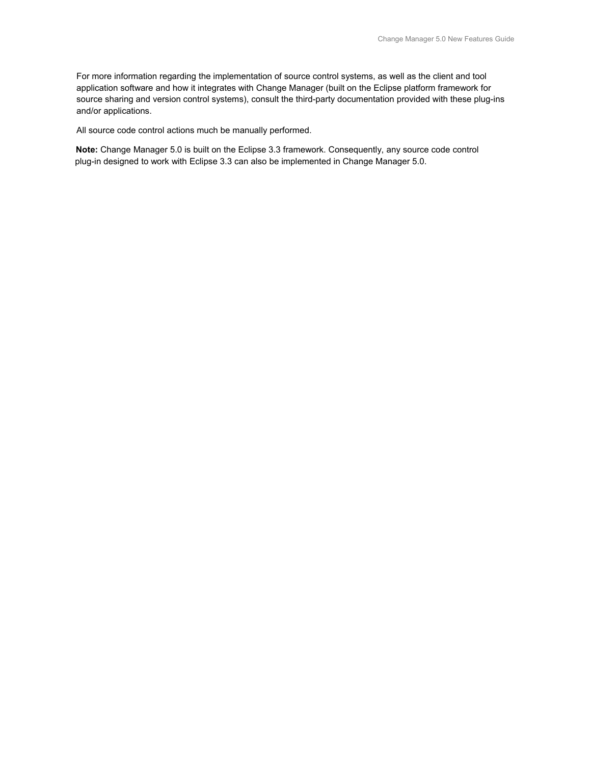For more information regarding the implementation of source control systems, as well as the client and tool application software and how it integrates with Change Manager (built on the Eclipse platform framework for source sharing and version control systems), consult the third-party documentation provided with these plug-ins and/or applications.

All source code control actions much be manually performed.

**Note:** Change Manager 5.0 is built on the Eclipse 3.3 framework. Consequently, any source code control plug-in designed to work with Eclipse 3.3 can also be implemented in Change Manager 5.0.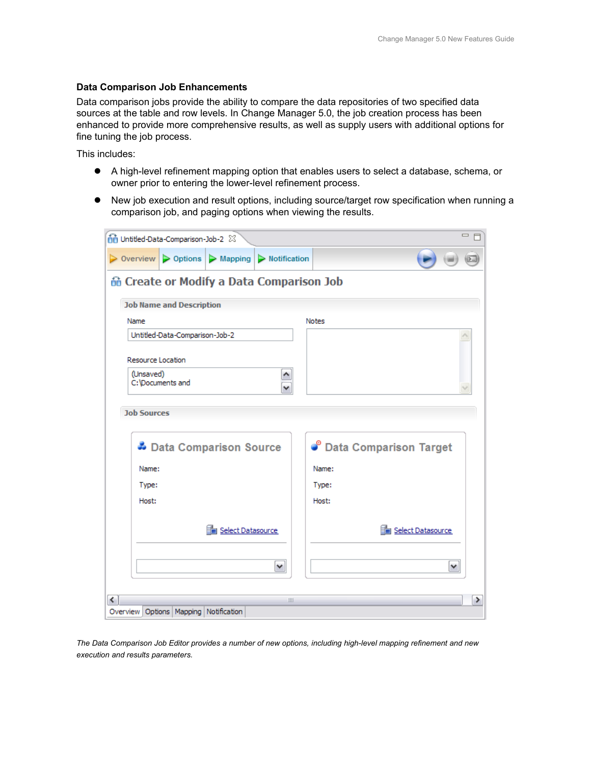## **Data Comparison Job Enhancements**

Data comparison jobs provide the ability to compare the data repositories of two specified data sources at the table and row levels. In Change Manager 5.0, the job creation process has been enhanced to provide more comprehensive results, as well as supply users with additional options for fine tuning the job process.

This includes:

- A high-level refinement mapping option that enables users to select a database, schema, or owner prior to entering the lower-level refinement process.
- New job execution and result options, including source/target row specification when running a comparison job, and paging options when viewing the results.

| nd Untitled-Data-Comparison-Job-2 23      |                                                  |                                        | $\qquad \qquad \Box$            |  |  |  |
|-------------------------------------------|--------------------------------------------------|----------------------------------------|---------------------------------|--|--|--|
| $\triangleright$ Overview                 |                                                  | > Options   > Mapping   > Notification |                                 |  |  |  |
|                                           | <b>in Create or Modify a Data Comparison Job</b> |                                        |                                 |  |  |  |
| <b>Job Name and Description</b>           |                                                  |                                        |                                 |  |  |  |
| Name                                      |                                                  |                                        | <b>Notes</b>                    |  |  |  |
| Untitled-Data-Comparison-Job-2            |                                                  |                                        |                                 |  |  |  |
| Resource Location                         |                                                  |                                        |                                 |  |  |  |
| (Unsaved)<br>C:\Documents and             |                                                  |                                        |                                 |  |  |  |
| <b>Job Sources</b>                        |                                                  |                                        |                                 |  |  |  |
| Data Comparison Source                    |                                                  |                                        | <b>C</b> Data Comparison Target |  |  |  |
| Name:                                     |                                                  |                                        | Name:                           |  |  |  |
| Type:                                     |                                                  |                                        | Type:                           |  |  |  |
| Host:                                     |                                                  |                                        | Host:                           |  |  |  |
|                                           | Select Datasource                                |                                        | Select Datasource               |  |  |  |
|                                           |                                                  | ٧                                      | ٧                               |  |  |  |
| ≺                                         |                                                  | $\  \varphi \ $                        | ⋗                               |  |  |  |
| Overview Options   Mapping   Notification |                                                  |                                        |                                 |  |  |  |

*The Data Comparison Job Editor provides a number of new options, including high-level mapping refinement and new execution and results parameters.*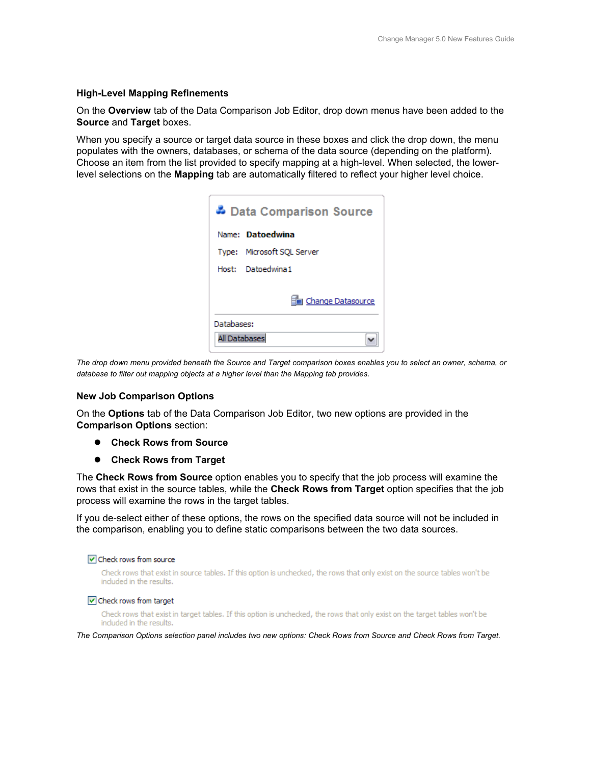# **High-Level Mapping Refinements**

On the **Overview** tab of the Data Comparison Job Editor, drop down menus have been added to the **Source** and **Target** boxes.

When you specify a source or target data source in these boxes and click the drop down, the menu populates with the owners, databases, or schema of the data source (depending on the platform). Choose an item from the list provided to specify mapping at a high-level. When selected, the lowerlevel selections on the **Mapping** tab are automatically filtered to reflect your higher level choice.

|               | Data Comparison Source     |
|---------------|----------------------------|
|               | Name: <b>Datoedwina</b>    |
|               | Type: Microsoft SQL Server |
|               | Host: Datoedwina1          |
|               | Change Datasource          |
| Databases:    |                            |
| All Databases |                            |

*The drop down menu provided beneath the Source and Target comparison boxes enables you to select an owner, schema, or database to filter out mapping objects at a higher level than the Mapping tab provides.*

## **New Job Comparison Options**

On the **Options** tab of the Data Comparison Job Editor, two new options are provided in the **Comparison Options** section:

- **Check Rows from Source**
- **Check Rows from Target**

The **Check Rows from Source** option enables you to specify that the job process will examine the rows that exist in the source tables, while the **Check Rows from Target** option specifies that the job process will examine the rows in the target tables.

If you de-select either of these options, the rows on the specified data source will not be included in the comparison, enabling you to define static comparisons between the two data sources.

#### Check rows from source

Check rows that exist in source tables. If this option is unchecked, the rows that only exist on the source tables won't be included in the results.

#### Check rows from target

Check rows that exist in target tables. If this option is unchecked, the rows that only exist on the target tables won't be included in the results.

*The Comparison Options selection panel includes two new options: Check Rows from Source and Check Rows from Target.*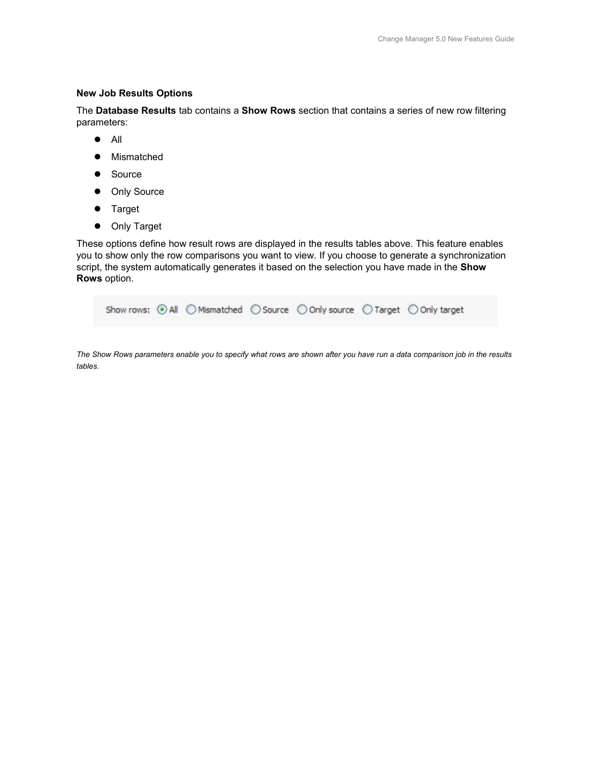## **New Job Results Options**

The **Database Results** tab contains a **Show Rows** section that contains a series of new row filtering parameters:

- $\bullet$  All
- Mismatched
- Source
- Only Source
- **•** Target
- **•** Only Target

These options define how result rows are displayed in the results tables above. This feature enables you to show only the row comparisons you want to view. If you choose to generate a synchronization script, the system automatically generates it based on the selection you have made in the **Show Rows** option.

|  |  | Show rows: ⊙ All ○ Mismatched ○ Source ○ Only source ○ Target ○ Only target |  |  |
|--|--|-----------------------------------------------------------------------------|--|--|
|  |  |                                                                             |  |  |

*The Show Rows parameters enable you to specify what rows are shown after you have run a data comparison job in the results tables.*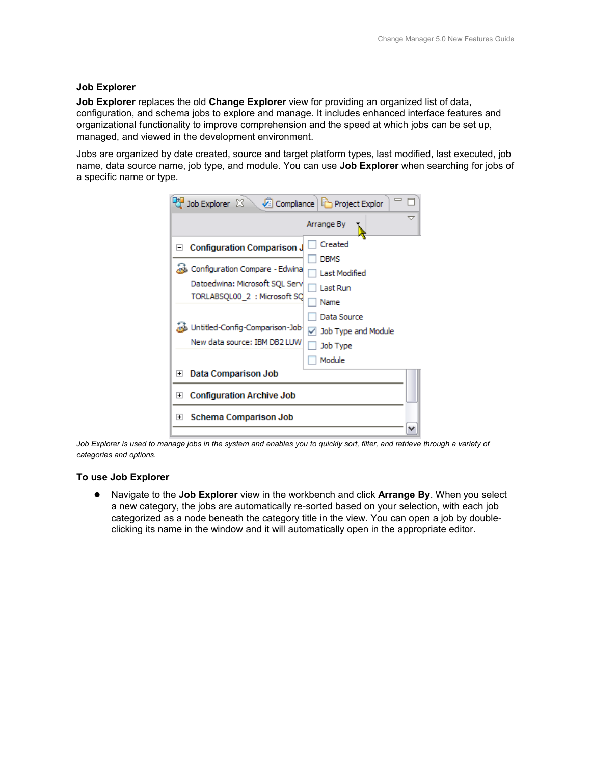## **Job Explorer**

**Job Explorer** replaces the old **Change Explorer** view for providing an organized list of data, configuration, and schema jobs to explore and manage. It includes enhanced interface features and organizational functionality to improve comprehension and the speed at which jobs can be set up, managed, and viewed in the development environment.

Jobs are organized by date created, source and target platform types, last modified, last executed, job name, data source name, job type, and module. You can use **Job Explorer** when searching for jobs of a specific name or type.

| Job Explorer $\boxtimes$                                            | Compliance   Project Explor       |
|---------------------------------------------------------------------|-----------------------------------|
|                                                                     | Arrange By                        |
| <b>Configuration Comparison J</b><br>$\left  - \right $             | Created                           |
| od Configuration Compare - Edwina<br>Datoedwina: Microsoft SQL Serv | DBMS<br>Last Modified<br>Last Run |
| TORLABSQL00_2 : Microsoft SQ                                        | Name<br>Data Source               |
| we Untitled-Config-Comparison-Job-<br>New data source: IBM DB2 LUW  | Job Type and Module<br>Job Type   |
|                                                                     | Module                            |
| Data Comparison Job<br>$\left  + \right $                           |                                   |
| <b>Configuration Archive Job</b><br>$\left  + \right $              |                                   |
| <b>Schema Comparison Job</b><br>$+$                                 |                                   |

*Job Explorer is used to manage jobs in the system and enables you to quickly sort, filter, and retrieve through a variety of categories and options.*

## **To use Job Explorer**

 Navigate to the **Job Explorer** view in the workbench and click **Arrange By**. When you select a new category, the jobs are automatically re-sorted based on your selection, with each job categorized as a node beneath the category title in the view. You can open a job by doubleclicking its name in the window and it will automatically open in the appropriate editor.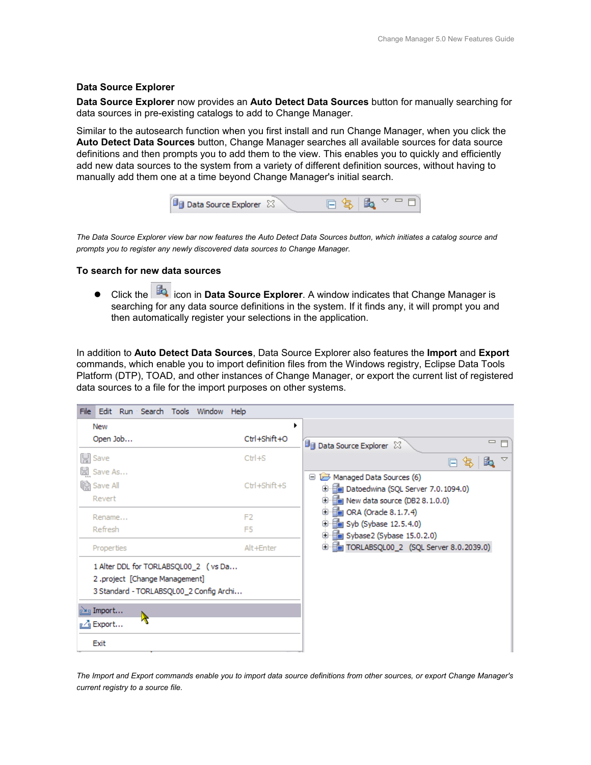## **Data Source Explorer**

**Data Source Explorer** now provides an **Auto Detect Data Sources** button for manually searching for data sources in pre-existing catalogs to add to Change Manager.

Similar to the autosearch function when you first install and run Change Manager, when you click the **Auto Detect Data Sources** button, Change Manager searches all available sources for data source definitions and then prompts you to add them to the view. This enables you to quickly and efficiently add new data sources to the system from a variety of different definition sources, without having to manually add them one at a time beyond Change Manager's initial search.



*The Data Source Explorer view bar now features the Auto Detect Data Sources button, which initiates a catalog source and prompts you to register any newly discovered data sources to Change Manager.*

## **To search for new data sources**

**•** Click the **icon in Data Source Explorer**. A window indicates that Change Manager is searching for any data source definitions in the system. If it finds any, it will prompt you and then automatically register your selections in the application.

In addition to **Auto Detect Data Sources**, Data Source Explorer also features the **Import** and **Export** commands, which enable you to import definition files from the Windows registry, Eclipse Data Tools Platform (DTP), TOAD, and other instances of Change Manager, or export the current list of registered data sources to a file for the import purposes on other systems.

| File Edit Run Search Tools Window Help                                                                                                                  |                |                                                                            |
|---------------------------------------------------------------------------------------------------------------------------------------------------------|----------------|----------------------------------------------------------------------------|
| New                                                                                                                                                     |                |                                                                            |
| Open Job                                                                                                                                                | Ctrl+Shift+O   | $\qquad \qquad =$<br><b>Data Source Explorer 23</b>                        |
| 딩 Save                                                                                                                                                  | $Ctr1+S$       | ᢦ<br>e,<br>口 写                                                             |
| 넓<br>Save As<br>ලි) Save All                                                                                                                            | Ctrl+Shift+S   | Managed Data Sources (6)<br><b>D</b> En Datoedwina (SQL Server 7.0.1094.0) |
| Revert                                                                                                                                                  |                | <b>⊕ 日 New data source (DB2 8.1.0.0)</b>                                   |
| Rename                                                                                                                                                  | F <sub>2</sub> | $\equiv$ ORA (Oracle 8.1.7.4)<br>Syb (Sybase 12.5.4.0)<br>Đ                |
| Refresh                                                                                                                                                 | F <sub>5</sub> | <b>D</b> En Sybase2 (Sybase 15.0.2.0)                                      |
| Properties                                                                                                                                              | Alt+Enter      | <b>E</b> TORLABSQL00_2 (SQL Server 8.0.2039.0)                             |
| 1 Alter DDL for TORLABSQL00 2 (vs Da<br>2.project [Change Management]<br>3 Standard - TORLABSQL00_2 Config Archi<br><u>ு</u> Import<br><b>r⊿</b> Export |                |                                                                            |
| Exit                                                                                                                                                    |                |                                                                            |

*The Import and Export commands enable you to import data source definitions from other sources, or export Change Manager's current registry to a source file.*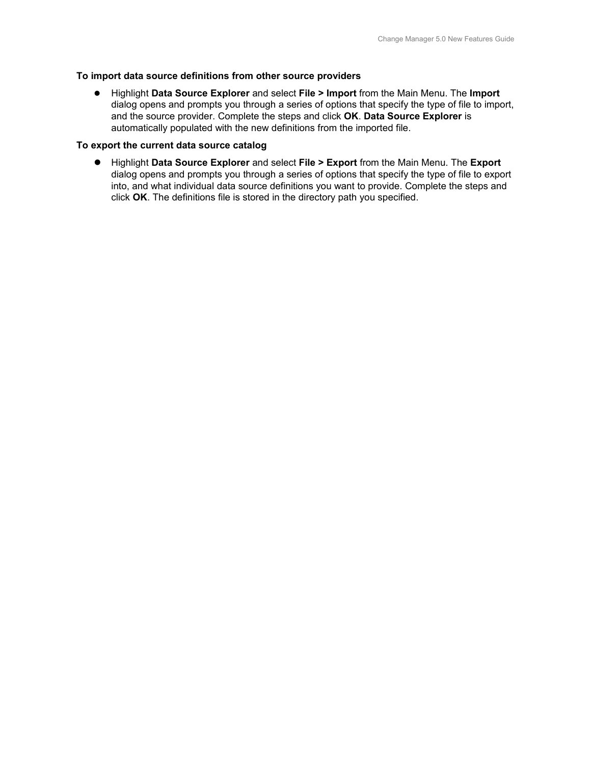## **To import data source definitions from other source providers**

 Highlight **Data Source Explorer** and select **File > Import** from the Main Menu. The **Import** dialog opens and prompts you through a series of options that specify the type of file to import, and the source provider. Complete the steps and click **OK**. **Data Source Explorer** is automatically populated with the new definitions from the imported file.

## **To export the current data source catalog**

 Highlight **Data Source Explorer** and select **File > Export** from the Main Menu. The **Export** dialog opens and prompts you through a series of options that specify the type of file to export into, and what individual data source definitions you want to provide. Complete the steps and click **OK**. The definitions file is stored in the directory path you specified.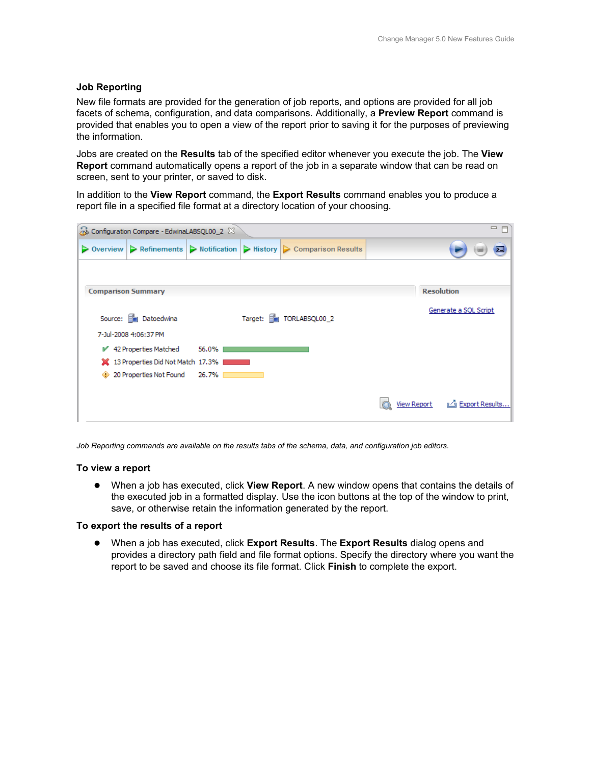## **Job Reporting**

New file formats are provided for the generation of job reports, and options are provided for all job facets of schema, configuration, and data comparisons. Additionally, a **Preview Report** command is provided that enables you to open a view of the report prior to saving it for the purposes of previewing the information.

Jobs are created on the **Results** tab of the specified editor whenever you execute the job. The **View Report** command automatically opens a report of the job in a separate window that can be read on screen, sent to your printer, or saved to disk.

In addition to the **View Report** command, the **Export Results** command enables you to produce a report file in a specified file format at a directory location of your choosing.

| 一 日<br>Configuration Compare - EdwinaLABSQL00_2 $%$ |                                                            |       |  |                                                              |  |                    |                       |
|-----------------------------------------------------|------------------------------------------------------------|-------|--|--------------------------------------------------------------|--|--------------------|-----------------------|
| $\triangleright$ Overview                           | $\triangleright$ Refinements $\triangleright$ Notification |       |  | $\triangleright$ History $\triangleright$ Comparison Results |  |                    | ь.                    |
|                                                     |                                                            |       |  |                                                              |  |                    |                       |
| <b>Comparison Summary</b>                           |                                                            |       |  |                                                              |  |                    | <b>Resolution</b>     |
|                                                     | Source: <b>Fig.</b> Datoedwina                             |       |  | Target: Fig TORLABSQL00_2                                    |  |                    | Generate a SQL Script |
|                                                     | 7-Jul-2008 4:06:37 PM                                      |       |  |                                                              |  |                    |                       |
|                                                     | ■ 42 Properties Matched                                    | 56.0% |  |                                                              |  |                    |                       |
|                                                     | 13 Properties Did Not Match 17.3%                          |       |  |                                                              |  |                    |                       |
| ⊕                                                   | 20 Properties Not Found                                    | 26.7% |  |                                                              |  |                    |                       |
|                                                     |                                                            |       |  |                                                              |  |                    |                       |
|                                                     |                                                            |       |  |                                                              |  | <b>View Report</b> | Export Results        |

*Job Reporting commands are available on the results tabs of the schema, data, and configuration job editors.*

## **To view a report**

 When a job has executed, click **View Report**. A new window opens that contains the details of the executed job in a formatted display. Use the icon buttons at the top of the window to print, save, or otherwise retain the information generated by the report.

## **To export the results of a report**

 When a job has executed, click **Export Results**. The **Export Results** dialog opens and provides a directory path field and file format options. Specify the directory where you want the report to be saved and choose its file format. Click **Finish** to complete the export.